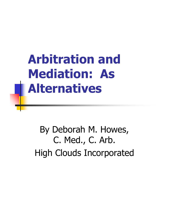**Arbitration and Mediation: As Alternatives**

By Deborah M. Howes, C. Med., C. Arb. High Clouds Incorporated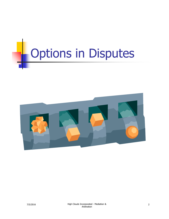# **Options in Disputes**

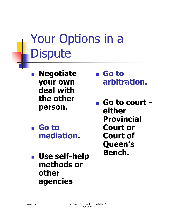## Your Options in a **Dispute**

 **Negotiate your own deal with the other person.**

- **Go to mediation.**
- **Use self-help methods or other agencies**
- **Go to arbitration.**
- **Go to court either Provincial Court or Court of Queen's Bench.**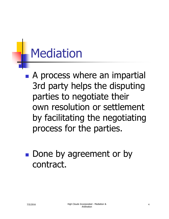## Mediation

- **A** process where an impartial 3rd party helps the disputing parties to negotiate their own resolution or settlement by facilitating the negotiating process for the parties.
- **Done by agreement or by** contract.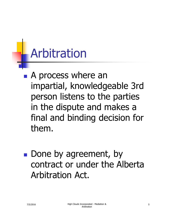## **Arbitration**

- **A process where an** impartial, knowledgeable 3rd person listens to the parties in the dispute and makes a final and binding decision for them.
- **Done by agreement, by** contract or under the Alberta Arbitration Act.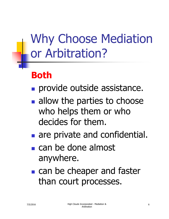Why Choose Mediation or Arbitration?

#### **Both**

- **provide outside assistance.**
- **allow the parties to choose** who helps them or who decides for them.
- **are private and confidential.**
- can be done almost anywhere.
- **can be cheaper and faster** than court processes.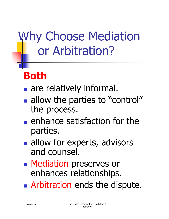## Why Choose Mediation or Arbitration?

### **Both**

- **are relatively informal.**
- allow the parties to "control" the process.
- $\blacksquare$  enhance satisfaction for the parties.
- allow for experts, advisors and counsel.
- **Nediation preserves or** enhances relationships.
- **Arbitration ends the dispute.**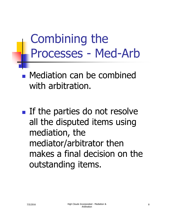Combining the Processes - Med-Arb

**Nediation can be combined** with arbitration.

**If the parties do not resolve** all the disputed items using mediation, the mediator/arbitrator then makes a final decision on the outstanding items.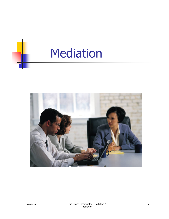

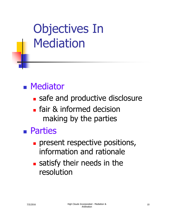## Objectives In Mediation

### **Mediator**

- safe and productive disclosure
- **Figure 8 Informed decision** making by the parties

#### Parties

- **present respective positions,** information and rationale
- **satisfy their needs in the** resolution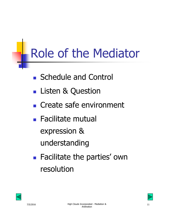# Role of the Mediator

- Schedule and Control
- **Listen & Question**
- Create safe environment
- Facilitate mutual expression & understanding
- **Facilitate the parties' own** resolution



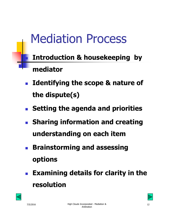## Mediation Process

 **Introduction & housekeeping by mediator**

- **Identifying the scope & nature of the dispute(s)**
- **Setting the agenda and priorities**
- **Sharing information and creating understanding on each item**
- **Brainstorming and assessing options**
- **Examining details for clarity in the resolution**

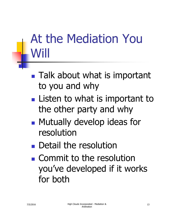## At the Mediation You Will

- **Talk about what is important** to you and why
- **Listen to what is important to** the other party and why
- **Mutually develop ideas for** resolution
- **Detail the resolution**
- **Commit to the resolution** you've developed if it works for both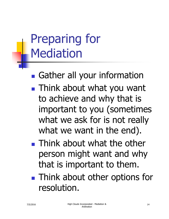## Preparing for **Mediation**

**Gather all your information** 

- **Think about what you want** to achieve and why that is important to you (sometimes what we ask for is not really what we want in the end).
- **Think about what the other** person might want and why that is important to them.
- **Think about other options for** resolution.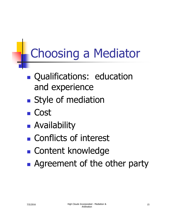## Choosing a Mediator

- **Qualifications: education** and experience
- **Style of mediation**
- Cost
- **Availability**
- **Conflicts of interest**
- **Content knowledge**
- **Agreement of the other party**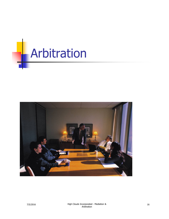

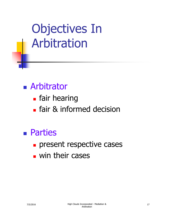Objectives In Arbitration

- **Arbitrator** 
	- **Fair hearing**
	- **Fidum** fair & informed decision
- Parties
	- **present respective cases**
	- **u** win their cases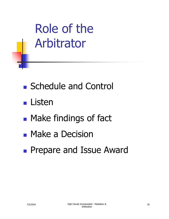Role of the Arbitrator

- Schedule and Control
- **Listen**
- **Make findings of fact**
- **Make a Decision**
- **Prepare and Issue Award**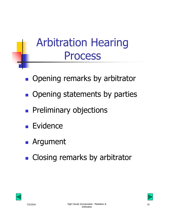## Arbitration Hearing Process

- **Opening remarks by arbitrator**
- **Opening statements by parties**
- **Preliminary objections**
- **Evidence**
- **Argument**
- **Closing remarks by arbitrator**



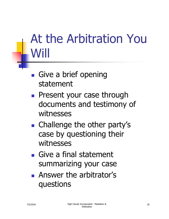## At the Arbitration You Will

- **Give a brief opening** statement
- **Present your case through** documents and testimony of witnesses
- Challenge the other party's case by questioning their witnesses
- Give a final statement summarizing your case
- **Answer the arbitrator's** questions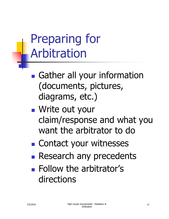## Preparing for Arbitration

- **Gather all your information** (documents, pictures, diagrams, etc.)
- Write out your claim/response and what you want the arbitrator to do
- Contact your witnesses
- **Research any precedents**
- **Follow the arbitrator's** directions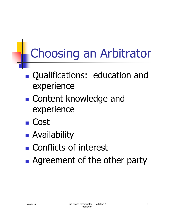## Choosing an Arbitrator

- Qualifications: education and experience
- **E** Content knowledge and experience
- Cost
- **Availability**
- **Conflicts of interest**
- **Agreement of the other party**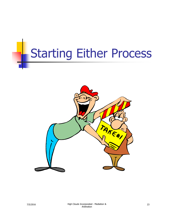## Starting Either Process

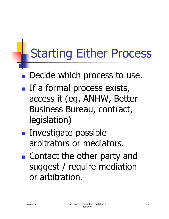# Starting Either Process

- **Decide which process to use.**
- $\blacksquare$  If a formal process exists, access it (eg. ANHW, Better Business Bureau, contract, legislation)
- **Investigate possible** arbitrators or mediators.
- **E** Contact the other party and suggest / require mediation or arbitration.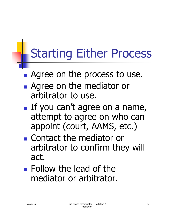## Starting Either Process

- **Agree on the process to use.**
- **Agree on the mediator or** arbitrator to use.
- If you can't agree on a name, attempt to agree on who can appoint (court, AAMS, etc.)
- Contact the mediator or arbitrator to confirm they will act.
- **Follow the lead of the** mediator or arbitrator.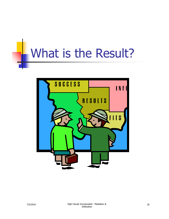## What is the Result?

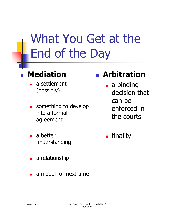## What You Get at the End of the Day

#### **Mediation**

- a settlement (possibly)
- something to develop into a formal agreement
- a better understanding
- a relationship
- a model for next time

#### **Arbitration**

- **a** binding decision that can be enforced in the courts
- **Finality**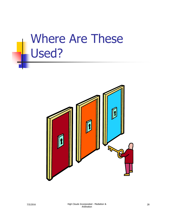## Where Are These Used?

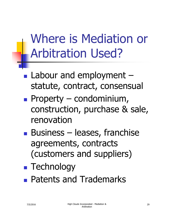## Where is Mediation or Arbitration Used?

- **Labour and employment** statute, contract, consensual
- **Property condominium,** construction, purchase & sale, renovation
- **Business leases, franchise** agreements, contracts (customers and suppliers)
- **Technology**
- **Patents and Trademarks**